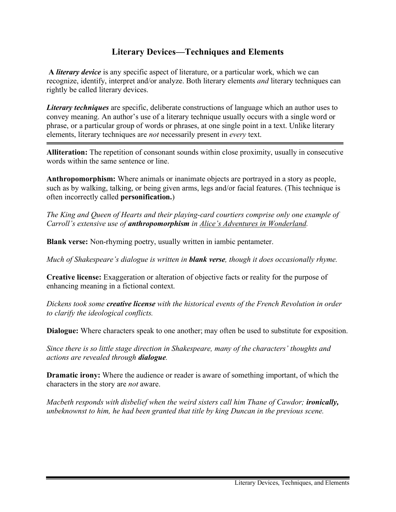## **Literary Devices—Techniques and Elements**

**A** *literary device* is any specific aspect of literature, or a particular work, which we can recognize, identify, interpret and/or analyze. Both literary elements *and* literary techniques can rightly be called literary devices.

*Literary techniques* are specific, deliberate constructions of language which an author uses to convey meaning. An author's use of a literary technique usually occurs with a single word or phrase, or a particular group of words or phrases, at one single point in a text. Unlike literary elements, literary techniques are *not* necessarily present in *every* text.

**Alliteration:** The repetition of consonant sounds within close proximity, usually in consecutive words within the same sentence or line.

**Anthropomorphism:** Where animals or inanimate objects are portrayed in a story as people, such as by walking, talking, or being given arms, legs and/or facial features. (This technique is often incorrectly called **personification.**)

*The King and Queen of Hearts and their playing-card courtiers comprise only one example of Carroll's extensive use of anthropomorphism in Alice's Adventures in Wonderland.*

**Blank verse:** Non-rhyming poetry, usually written in iambic pentameter.

*Much of Shakespeare's dialogue is written in blank verse, though it does occasionally rhyme.*

**Creative license:** Exaggeration or alteration of objective facts or reality for the purpose of enhancing meaning in a fictional context.

*Dickens took some creative license with the historical events of the French Revolution in order to clarify the ideological conflicts.*

**Dialogue:** Where characters speak to one another; may often be used to substitute for exposition.

*Since there is so little stage direction in Shakespeare, many of the characters' thoughts and actions are revealed through dialogue.*

**Dramatic irony:** Where the audience or reader is aware of something important, of which the characters in the story are *not* aware.

*Macbeth responds with disbelief when the weird sisters call him Thane of Cawdor; ironically, unbeknownst to him, he had been granted that title by king Duncan in the previous scene.*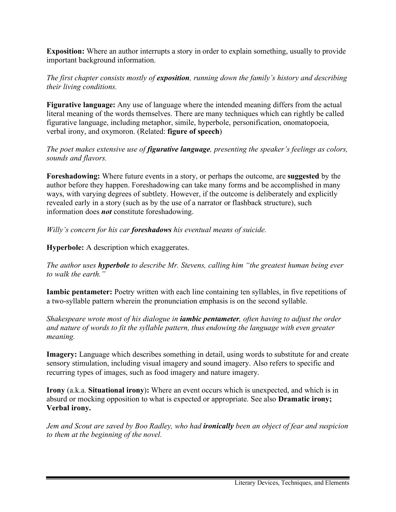**Exposition:** Where an author interrupts a story in order to explain something, usually to provide important background information.

*The first chapter consists mostly of exposition, running down the family's history and describing their living conditions.*

**Figurative language:** Any use of language where the intended meaning differs from the actual literal meaning of the words themselves. There are many techniques which can rightly be called figurative language, including metaphor, simile, hyperbole, personification, onomatopoeia, verbal irony, and oxymoron. (Related: **figure of speech**)

*The poet makes extensive use of figurative language, presenting the speaker's feelings as colors, sounds and flavors.*

**Foreshadowing:** Where future events in a story, or perhaps the outcome, are **suggested** by the author before they happen. Foreshadowing can take many forms and be accomplished in many ways, with varying degrees of subtlety. However, if the outcome is deliberately and explicitly revealed early in a story (such as by the use of a narrator or flashback structure), such information does *not* constitute foreshadowing.

*Willy's concern for his car foreshadows his eventual means of suicide.*

**Hyperbole:** A description which exaggerates.

*The author uses hyperbole to describe Mr. Stevens, calling him "the greatest human being ever to walk the earth."*

**Iambic pentameter:** Poetry written with each line containing ten syllables, in five repetitions of a two-syllable pattern wherein the pronunciation emphasis is on the second syllable.

*Shakespeare wrote most of his dialogue in iambic pentameter, often having to adjust the order and nature of words to fit the syllable pattern, thus endowing the language with even greater meaning.*

**Imagery:** Language which describes something in detail, using words to substitute for and create sensory stimulation, including visual imagery and sound imagery. Also refers to specific and recurring types of images, such as food imagery and nature imagery.

**Irony** (a.k.a. **Situational irony**)**:** Where an event occurs which is unexpected, and which is in absurd or mocking opposition to what is expected or appropriate. See also **Dramatic irony; Verbal irony.**

*Jem and Scout are saved by Boo Radley, who had ironically been an object of fear and suspicion to them at the beginning of the novel.*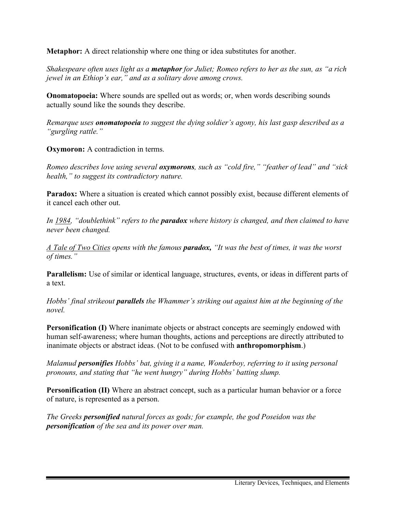**Metaphor:** A direct relationship where one thing or idea substitutes for another.

*Shakespeare often uses light as a metaphor for Juliet; Romeo refers to her as the sun, as "a rich jewel in an Ethiop's ear," and as a solitary dove among crows.*

**Onomatopoeia:** Where sounds are spelled out as words; or, when words describing sounds actually sound like the sounds they describe.

*Remarque uses onomatopoeia to suggest the dying soldier's agony, his last gasp described as a "gurgling rattle."*

**Oxymoron:** A contradiction in terms.

*Romeo describes love using several oxymorons, such as "cold fire," "feather of lead" and "sick health," to suggest its contradictory nature.*

**Paradox:** Where a situation is created which cannot possibly exist, because different elements of it cancel each other out.

*In 1984, "doublethink" refers to the paradox where history is changed, and then claimed to have never been changed.*

*A Tale of Two Cities opens with the famous paradox, "It was the best of times, it was the worst of times."*

**Parallelism:** Use of similar or identical language, structures, events, or ideas in different parts of a text.

*Hobbs' final strikeout parallels the Whammer's striking out against him at the beginning of the novel.*

**Personification (I)** Where inanimate objects or abstract concepts are seemingly endowed with human self-awareness; where human thoughts, actions and perceptions are directly attributed to inanimate objects or abstract ideas. (Not to be confused with **anthropomorphism**.)

*Malamud personifies Hobbs' bat, giving it a name, Wonderboy, referring to it using personal pronouns, and stating that "he went hungry" during Hobbs' batting slump.*

**Personification (II)** Where an abstract concept, such as a particular human behavior or a force of nature, is represented as a person.

*The Greeks personified natural forces as gods; for example, the god Poseidon was the personification of the sea and its power over man.*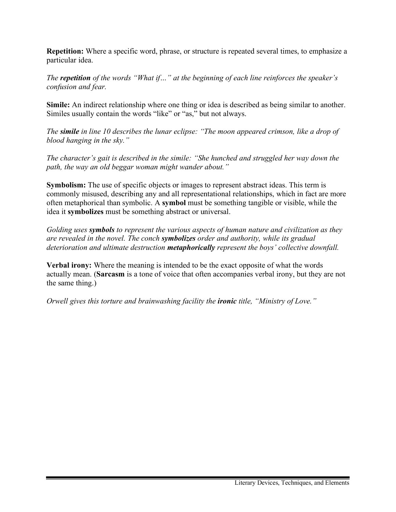**Repetition:** Where a specific word, phrase, or structure is repeated several times, to emphasize a particular idea.

*The repetition of the words "What if…" at the beginning of each line reinforces the speaker's confusion and fear.*

**Simile:** An indirect relationship where one thing or idea is described as being similar to another. Similes usually contain the words "like" or "as," but not always.

*The simile in line 10 describes the lunar eclipse: "The moon appeared crimson, like a drop of blood hanging in the sky."*

*The character's gait is described in the simile: "She hunched and struggled her way down the path, the way an old beggar woman might wander about."*

**Symbolism:** The use of specific objects or images to represent abstract ideas. This term is commonly misused, describing any and all representational relationships, which in fact are more often metaphorical than symbolic. A **symbol** must be something tangible or visible, while the idea it **symbolizes** must be something abstract or universal.

*Golding uses symbols to represent the various aspects of human nature and civilization as they are revealed in the novel. The conch symbolizes order and authority, while its gradual deterioration and ultimate destruction metaphorically represent the boys' collective downfall.*

**Verbal irony:** Where the meaning is intended to be the exact opposite of what the words actually mean. (**Sarcasm** is a tone of voice that often accompanies verbal irony, but they are not the same thing.)

*Orwell gives this torture and brainwashing facility the ironic title, "Ministry of Love."*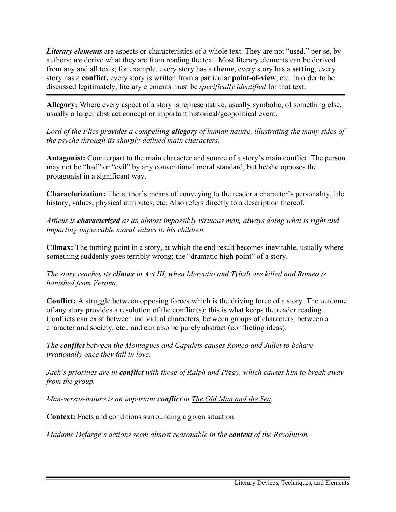*Literary elements* are aspects or characteristics of a whole text. They are not "used," per se, by authors; *we* derive what they are from reading the text. Most literary elements can be derived from any and all texts; for example, every story has a **theme**, every story has a **setting**, every story has a **conflict,** every story is written from a particular **point-of-view**, etc. In order to be discussed legitimately, literary elements must be *specifically identified* for that text.

**Allegory:** Where every aspect of a story is representative, usually symbolic, of something else, usually a larger abstract concept or important historical/geopolitical event.

*Lord of the Flies provides a compelling allegory of human nature, illustrating the many sides of the psyche through its sharply-defined main characters.*

**Antagonist:** Counterpart to the main character and source of a story's main conflict. The person may not be "bad" or "evil" by any conventional moral standard, but he/she opposes the protagonist in a significant way.

**Characterization:** The author's means of conveying to the reader a character's personality, life history, values, physical attributes, etc. Also refers directly to a description thereof.

*Atticus is characterized as an almost impossibly virtuous man, always doing what is right and imparting impeccable moral values to his children.*

**Climax:** The turning point in a story, at which the end result becomes inevitable, usually where something suddenly goes terribly wrong; the "dramatic high point" of a story.

*The story reaches its climax in Act III, when Mercutio and Tybalt are killed and Romeo is banished from Verona.*

**Conflict:** A struggle between opposing forces which is the driving force of a story. The outcome of any story provides a resolution of the conflict(s); this is what keeps the reader reading. Conflicts can exist between individual characters, between groups of characters, between a character and society, etc., and can also be purely abstract (conflicting ideas).

*The conflict between the Montagues and Capulets causes Romeo and Juliet to behave irrationally once they fall in love.*

*Jack's priorities are in conflict with those of Ralph and Piggy, which causes him to break away from the group.*

*Man-versus-nature is an important conflict in The Old Man and the Sea.*

**Context:** Facts and conditions surrounding a given situation.

*Madame Defarge's actions seem almost reasonable in the context of the Revolution.*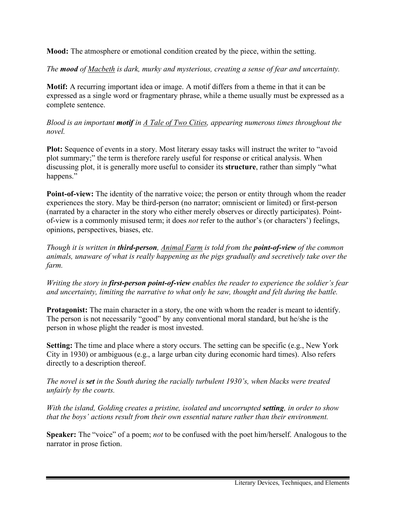**Mood:** The atmosphere or emotional condition created by the piece, within the setting.

*The mood of Macbeth is dark, murky and mysterious, creating a sense of fear and uncertainty.*

**Motif:** A recurring important idea or image. A motif differs from a theme in that it can be expressed as a single word or fragmentary phrase, while a theme usually must be expressed as a complete sentence.

## *Blood is an important motif in A Tale of Two Cities, appearing numerous times throughout the novel.*

Plot: Sequence of events in a story. Most literary essay tasks will instruct the writer to "avoid" plot summary;" the term is therefore rarely useful for response or critical analysis. When discussing plot, it is generally more useful to consider its **structure**, rather than simply "what happens."

**Point-of-view:** The identity of the narrative voice; the person or entity through whom the reader experiences the story. May be third-person (no narrator; omniscient or limited) or first-person (narrated by a character in the story who either merely observes or directly participates). Pointof-view is a commonly misused term; it does *not* refer to the author's (or characters') feelings, opinions, perspectives, biases, etc.

*Though it is written in third-person, Animal Farm is told from the point-of-view of the common animals, unaware of what is really happening as the pigs gradually and secretively take over the farm.*

*Writing the story in first-person point-of-view enables the reader to experience the soldier's fear and uncertainty, limiting the narrative to what only he saw, thought and felt during the battle.*

**Protagonist:** The main character in a story, the one with whom the reader is meant to identify. The person is not necessarily "good" by any conventional moral standard, but he/she is the person in whose plight the reader is most invested.

**Setting:** The time and place where a story occurs. The setting can be specific (e.g., New York City in 1930) or ambiguous (e.g., a large urban city during economic hard times). Also refers directly to a description thereof.

*The novel is set in the South during the racially turbulent 1930's, when blacks were treated unfairly by the courts.*

*With the island, Golding creates a pristine, isolated and uncorrupted <i>setting*, in order to show *that the boys' actions result from their own essential nature rather than their environment.*

**Speaker:** The "voice" of a poem; *not* to be confused with the poet him/herself. Analogous to the narrator in prose fiction.